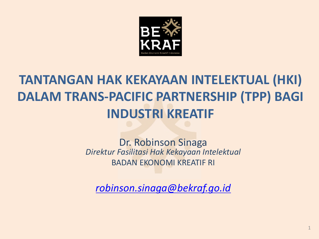

### **TANTANGAN HAK KEKAYAAN INTELEKTUAL (HKI) DALAM TRANS-PACIFIC PARTNERSHIP (TPP) BAGI INDUSTRI%KREATIF**

#### Dr. Robinson Sinaga *Direktur Fasilitasi Hak Kekayaan Intelektual* BADAN FKONOMI KREATIF RI

*robinson.sinaga@bekraf.go.id*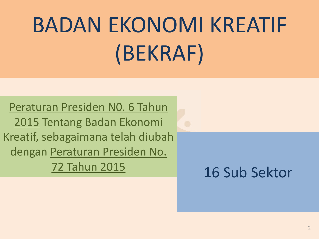# BADAN EKONOMI KREATIF (BEKRAF)

Peraturan Presiden NO. 6 Tahun 2015 Tentang Badan Ekonomi Kreatif,\$sebagaimana telah diubah dengan Peraturan Presiden No.\$ 72\$Tahun 2015

16 Sub Sektor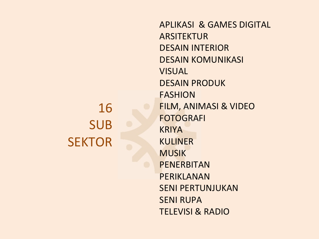### 16\$ SUB\$ **SEKTOR**

APLIKASI & GAMES DIGITAL **ARSITEKTUR** DESAIN INTERIOR DESAIN KOMUNIKASI VISUAL DESAIN PRODUK FASHION FILM, ANIMASI & VIDEO FOTOGRAFI KRIYA KULINER **MUSIK** PENERBITAN PERIKLANAN SENI PERTUNJUKAN **SENI RUPA TELEVISI & RADIO**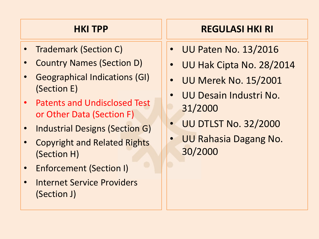#### **HKI%TPP**

- **Trademark (Section C)**
- Country Names (Section D)
- Geographical Indications (GI) (Section E)
- Patents and Undisclosed Test or Other Data (Section F)
- Industrial Designs (Section G)
- **Copyright and Related Rights** (Section H)
- **Enforcement (Section I)**
- Internet Service Providers (Section J)

### **REGULASI HKI RI**

- UU Paten No. 13/2016
- UU Hak Cipta No. 28/2014
- UU Merek No. 15/2001
- UU Desain Industri No. 31/2000
- **UU DTLST No. 32/2000**
- UU Rahasia Dagang No. 30/2000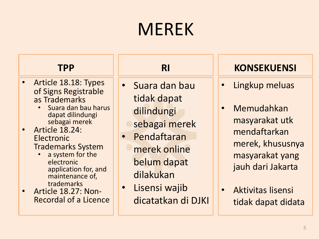### **MEREK**

#### **TPP**

- Article 18.18: Types of Signs Registrable as Trademarks
	- Suara dan bau harus dapat dilindungi sebagai merek
- Article  $18.24$ : **Electronic Trademarks System** 
	- a system for the electronic\$ application for, and maintenance of, trademarks
- Article 18.27: Non-<br>Recordal of a Licence

- Suara dan bau tidak dapat dilindungi
	- sebagai merek
- Pendaftaran merek online belum dapat dilakukan
- Lisensi wajib dicatatkan di DJKI

- Lingkup meluas
- Memudahkan masyarakat utk mendaftarkan merek, khususnya masyarakat yang\$ jauh dari Jakarta
- Aktivitas lisensi tidak dapat didata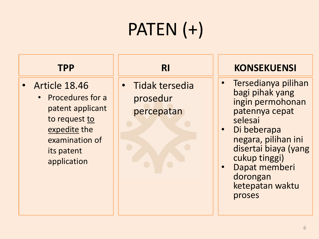## PATEN (+)

#### **TPP**

- $\bullet$  Article 18.46
	- Procedures for a patent applicant to request to expedite the examination of its patent application

• Tidak tersedia prosedur percepatan

- Tersedianya pilihan bagi pihak yang ingin permohonan patennya cepat selesai
- Di beberapa negara, pilihan ini disertai biaya (yang\$ cukup tinggi)
- Dapat memberi dorongan ketepatan waktu proses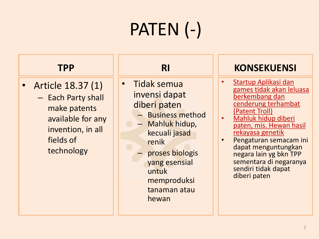#### **TPP**

- Article 18.37 (1)
	- Each Party shall make patents available for any invention, in all fields of technology

- Tidak semua invensi dapat diberi paten
	- $-$  Business method
	- Mahluk hidup,\$ kecuali jasad renik
	- proses biologis yang esensial untuk memproduksi tanaman atau hewan

- Startup Aplikasi dan games tidak akan leluasa berkembang dan cenderung terhambat
- (Patent Troll)<br>Mahluk hidup diberi paten, mis. Hewan hasil rekayasa genetik
- Pengaturan semacam ini dapat menguntungkan negara lain yg bkn TPP sementara di negaranya sendiri tidak dapat diberi paten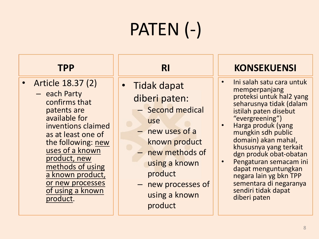#### **TPP**

- Article 18.37 (2)
	- $-$  each Party confirms that patents are available for inventions claimed as at least one of the following: new uses of a known product, new methods of using a known product, or new processes of using a known product.

- Tidak dapat diberi paten:
	- Second medical use
	- $-$  new uses of a known product
	- $-$  new methods of using a known product
	- $-$  new processes of using a known product

- Ini salah satu cara untuk memperpanjang proteksi untuk hal2 yang seharusnya tidak (dalam istilah paten disebut<br>"evergreening")<br>Harga produk (yang
- mungkin sdh public\$ domain) akan mahal,<br> khususnya yang terkait dgn produk obat-obatan
- Pengaturan semacam ini dapat menguntungkan negara lain yg bkn TPP sementara di negaranya sendiri tidak dapat diberi paten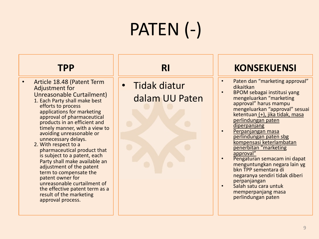#### **TPP**

- Article 18.48 (Patent Term Adjustment for Unreasonable Curtailment)
	- 1. Each Party shall make best efforts to process applications for marketing approval of pharmaceutical products in an efficient and timely manner, with a view to avoiding unreasonable or unnecessary delays.<br>2. With respect to a
	- pharmaceutical product that is subject to a patent, each Party shall make available an adjustment of the patent term to compensate the patent owner for unreasonable curtailment of the effective patent term as a result of the marketing approval process.

• Tidak diatur dalam UU Paten

### **RI KONSEKUENSI**

- Paten dan "marketing approval"<br>dikaitkan
	- BPOM sebagai institusi yang mengeluarkan "marketing\$ approval" harus mampu mengeluarkan "approval" sesuai ketentuan (+), jika tidak, masa

perlindungan paten\$ diperpanjang

- Perpanjangan masa perlindungan paten sbg kompensasi keterlambatan penerbitan "marketing<br>approval"
- 
- Pengaturan semacam ini dapat menguntungkan negara lain\$yg bkn TPP sementara di negaranya sendiri tidak diberi
- Salah satu cara untuk memperpanjang masa perlindungan paten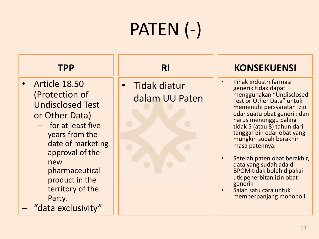#### **TPP**

- Article  $18.50$ (Protection of Undisclosed\$Test\$ or Other Data)
	- $-$  for at least five years from the date of marketing approval of the new pharmaceutical product in the territory of the Party.
- "data exclusivity"

• Tidak diatur dalam UU Paten

- Pihak industri farmasi generik tidak dapat menggunakan "Undisclosed\$ Test or Other Data" untuk memenuhi persyaratan izin edar suatu obat generik dan harus menunggu paling\$ tidak 5 (atau 8) tahun dari tanggal izin edar obat yang\$ mungkin sudah berakhir masa patennya.
- Setelah paten obat berakhir,<br> data yang sudah ada di BPOM\$tidak boleh dipakai utk penerbitan izin obat<br>generik
- Salah satu cara untuk memperpanjang monopoli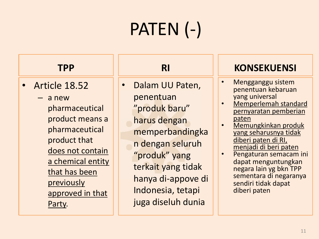#### **TPP**

- $\bullet$  Article 18.52
	- $-$  a new pharmaceutical product means a pharmaceutical product that does not contain a chemical entity that has been previously approved in that Party.

• Dalam UU Paten, penentuan "produk baru"\$ harus dengan memperbandingka n dengan seluruh "produk" yang terkait yang tidak hanya di-appove di Indonesia, tetapi juga diseluh dunia

- Mengganggu sistem penentuan kebaruan
- yang universal<br>Memperlemah standard pernyaratan pemberian paten<br>Memungkinkan produk
- yang seharusnya tidak diberi paten di RI, menjadi di beri paten<br>Pengaturan semacam ini
- dapat menguntungkan negara lain yg bkn TPP sementara di negaranya sendiri tidak dapat diberi paten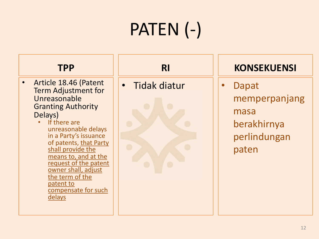#### **TPP**

- Article 18.46 (Patent  $\bullet$ **Term Adjustment for** Unreasonable **Granting Authority** Delays)
	- If there are unreasonable delays in a Party's issuance of patents, that Party shall provide the means to, and at the request of the patent owner shall, adjust the term of the patent to compensate for such delays

**RI** 

Tidak diatur  $\bullet$ 



#### **KONSEKUENSI**

 $\bullet$ 

Dapat memperpanjang masa berakhirnya perlindungan paten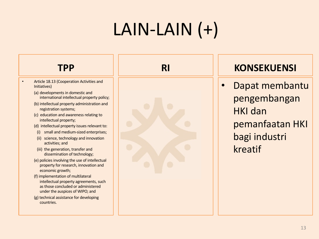### $LAIN-LAIN (+)$

#### **TPP**

- Article 18.13 (Cooperation Activities and Initiatives)
	- (a) developments in domestic and international intellectual property policy;
	- (b) intellectual property administration and registration systems;
	- (c) education and awareness relating to intellectual property;
	- (d) intellectual property issues relevant to:
	- (i) small and medium-sized enterprises;
	- (ii) science, technology and innovation activities; and
	- (iii) the generation, transfer and dissemination of technology;
	- (e) policies involving the use of intellectual property for research, innovation and economic growth;
	- (f) implementation of multilateral intellectual property agreements, such as those concluded or administered under the auspices of WIPO; and
	- (g) technical assistance for developing countries.



#### **KONSEKUENSI**

Dapat membantu pengembangan **HKI** dan pemanfaatan HKI bagi industri kreatif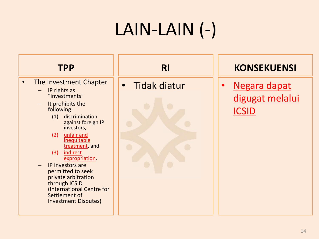### LAIN-LAIN (-)



- The Investment Chapter  $\bullet$ 
	- IP rights as "investments"
	- $-$  It prohibits the following:
		- (1) discrimination against foreign IP investors,
		- unfair and  $(2)$ inequitable treatment, and
		- (3) indirect expropriation.
	- IP investors are permitted to seek private arbitration through ICSID (International Centre for Settlement of **Investment Disputes)**

**RI** 

Tidak diatur  $\bullet$ 



#### **KONSEKUENSI**

Negara dapat  $\bullet$ digugat melalui **ICSID**